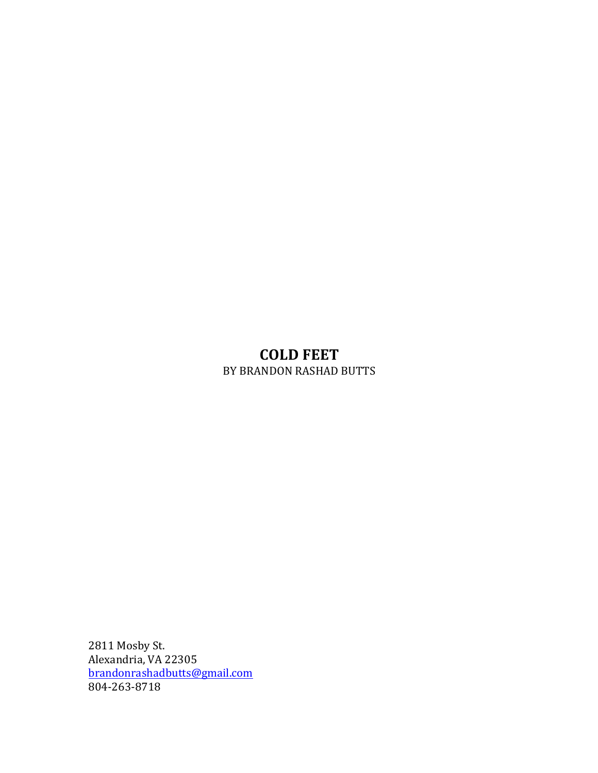# **COLD FEET** BY BRANDON RASHAD BUTTS

2811 Mosby St. Alexandria, VA 22305 brandonrashadbutts@gmail.com 804-263-8718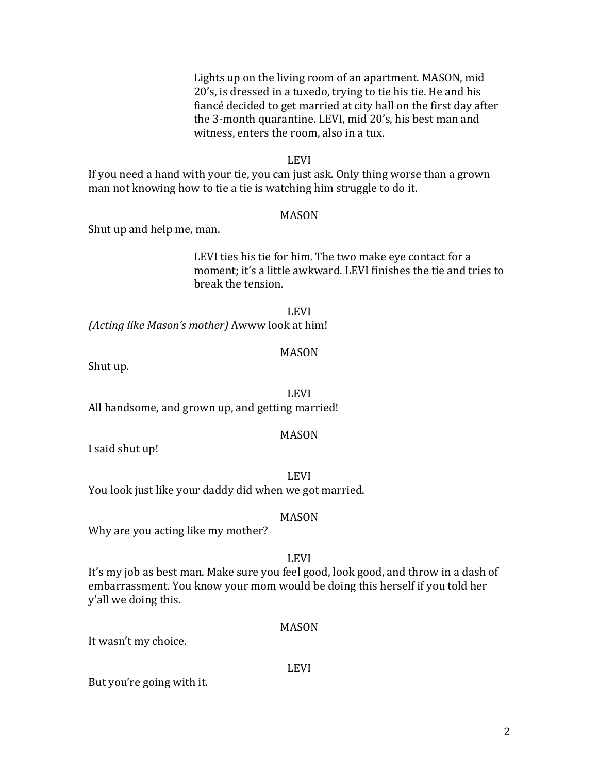Lights up on the living room of an apartment. MASON, mid. 20's, is dressed in a tuxedo, trying to tie his tie. He and his fiancé decided to get married at city hall on the first day after the 3-month quarantine. LEVI, mid 20's, his best man and witness, enters the room, also in a tux.

#### LEVI

If you need a hand with your tie, you can just ask. Only thing worse than a grown man not knowing how to tie a tie is watching him struggle to do it.

#### MASON

Shut up and help me, man.

LEVI ties his tie for him. The two make eye contact for a moment; it's a little awkward. LEVI finishes the tie and tries to break the tension. 

LEVI *(Acting like Mason's mother)* Awww look at him!

#### MASON

Shut up.

LEVI

All handsome, and grown up, and getting married!

#### MASON

I said shut up!

LEVI

You look just like your daddy did when we got married.

#### MASON

Why are you acting like my mother?

## LEVI

It's my job as best man. Make sure you feel good, look good, and throw in a dash of embarrassment. You know your mom would be doing this herself if you told her y'all we doing this.

#### MASON

It wasn't my choice.

#### LEVI

But you're going with it.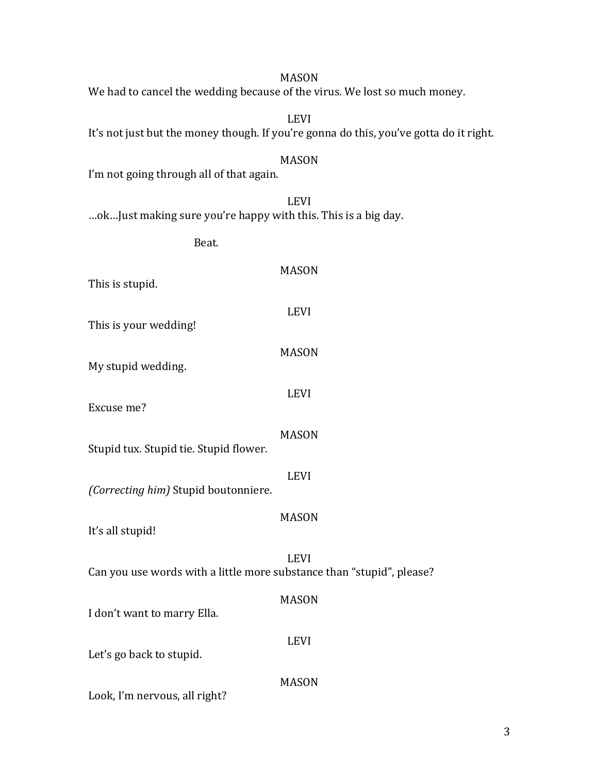| <b>LEVI</b><br>It's not just but the money though. If you're gonna do this, you've gotta do it right. |
|-------------------------------------------------------------------------------------------------------|
| <b>MASON</b><br>I'm not going through all of that again.                                              |
| <b>LEVI</b><br>ok Just making sure you're happy with this. This is a big day.                         |
| Beat.                                                                                                 |
| <b>MASON</b><br>This is stupid.                                                                       |
| <b>LEVI</b><br>This is your wedding!                                                                  |
| <b>MASON</b><br>My stupid wedding.                                                                    |
| <b>LEVI</b><br>Excuse me?                                                                             |
| <b>MASON</b><br>Stupid tux. Stupid tie. Stupid flower.                                                |
| <b>LEVI</b><br>(Correcting him) Stupid boutonniere.                                                   |
| <b>MASON</b><br>It's all stupid!                                                                      |
| <b>LEVI</b><br>Can you use words with a little more substance than "stupid", please?                  |
| <b>MASON</b><br>I don't want to marry Ella.                                                           |
| <b>LEVI</b><br>Let's go back to stupid.                                                               |
| <b>MASON</b><br>Look, I'm nervous, all right?                                                         |

We had to cancel the wedding because of the virus. We lost so much money.

# 3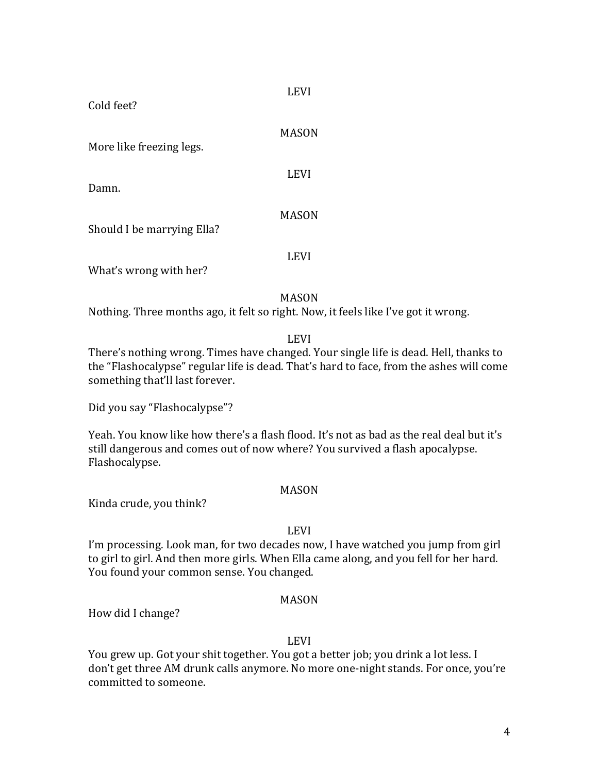LEVI

Cold feet?

| More like freezing legs.   | MASON       |
|----------------------------|-------------|
| Damn.                      | <b>LEVI</b> |
| Should I be marrying Ella? | MASON       |
| What's wrong with her?     | <b>LEVI</b> |

MASON

Nothing. Three months ago, it felt so right. Now, it feels like I've got it wrong.

LEVI

There's nothing wrong. Times have changed. Your single life is dead. Hell, thanks to the "Flashocalypse" regular life is dead. That's hard to face, from the ashes will come something that'll last forever.

Did you say "Flashocalypse"?

Yeah. You know like how there's a flash flood. It's not as bad as the real deal but it's still dangerous and comes out of now where? You survived a flash apocalypse. Flashocalypse.

## MASON

Kinda crude, you think?

## LEVI

I'm processing. Look man, for two decades now, I have watched you jump from girl to girl to girl. And then more girls. When Ella came along, and you fell for her hard. You found your common sense. You changed.

## MASON

How did I change?

## LEVI

You grew up. Got your shit together. You got a better job; you drink a lot less. I don't get three AM drunk calls anymore. No more one-night stands. For once, you're committed to someone.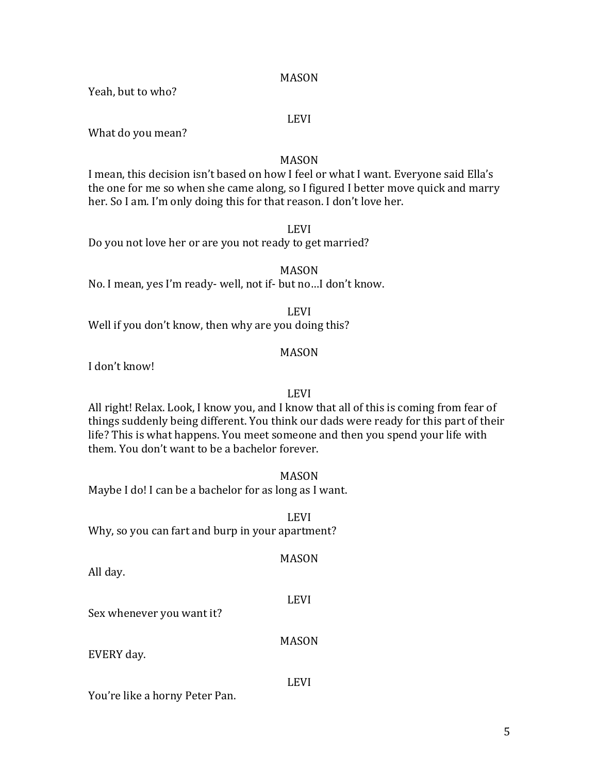Yeah, but to who?

#### LEVI

What do you mean?

#### MASON

I mean, this decision isn't based on how I feel or what I want. Everyone said Ella's the one for me so when she came along, so I figured I better move quick and marry her. So I am. I'm only doing this for that reason. I don't love her.

LEVI

Do you not love her or are you not ready to get married?

MASON No. I mean, yes I'm ready- well, not if- but no...I don't know.

LEVI Well if you don't know, then why are you doing this?

## MASON

I don't know!

#### LEVI

All right! Relax. Look, I know you, and I know that all of this is coming from fear of things suddenly being different. You think our dads were ready for this part of their life? This is what happens. You meet someone and then you spend your life with them. You don't want to be a bachelor forever.

MASON

LEVI

Maybe I do! I can be a bachelor for as long as I want.

Why, so you can fart and burp in your apartment?

All day.

Sex whenever you want it?

MASON

LEVI

EVERY day.

You're like a horny Peter Pan.

MASON

LEVI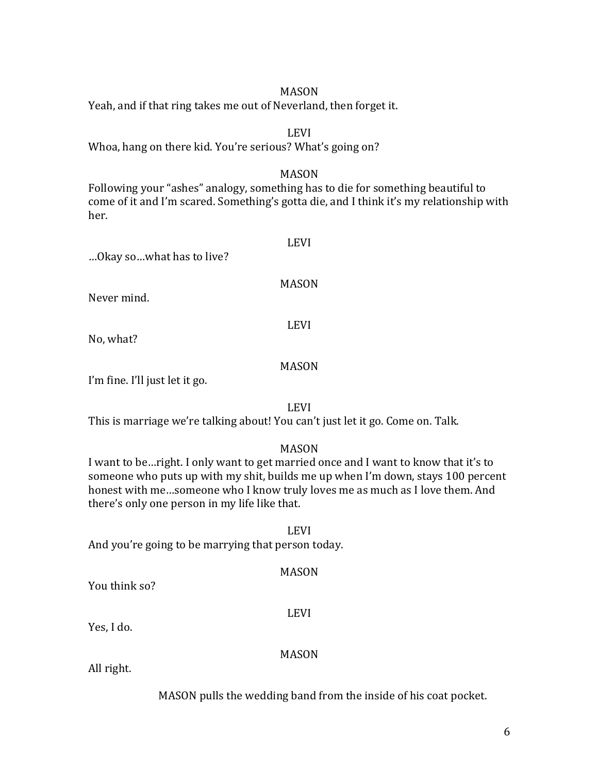Yeah, and if that ring takes me out of Neverland, then forget it.

#### LEVI

Whoa, hang on there kid. You're serious? What's going on?

#### MASON

Following your "ashes" analogy, something has to die for something beautiful to come of it and I'm scared. Something's gotta die, and I think it's my relationship with her.

| Okay sowhat has to live?                                                                                                          | <b>LEVI</b>  |
|-----------------------------------------------------------------------------------------------------------------------------------|--------------|
| Never mind.                                                                                                                       | <b>MASON</b> |
| No, what?                                                                                                                         | <b>LEVI</b>  |
| $\mathbf{P}_{\text{max}}$ $\mathbf{C}_{\text{max}}$ $\mathbf{V}$ $\mathbf{H}$ $\mathbf{L}_{\text{max}}$ $\mathbf{L}_{\text{max}}$ | <b>MASON</b> |

I'm fine. I'll just let it go.

LEVI

This is marriage we're talking about! You can't just let it go. Come on. Talk.

#### MASON

I want to be... right. I only want to get married once and I want to know that it's to someone who puts up with my shit, builds me up when I'm down, stays 100 percent honest with me...someone who I know truly loves me as much as I love them. And there's only one person in my life like that.

LEVI And you're going to be marrying that person today.

#### MASON

You think so?

LEVI

Yes, I do.

MASON

All right.

MASON pulls the wedding band from the inside of his coat pocket.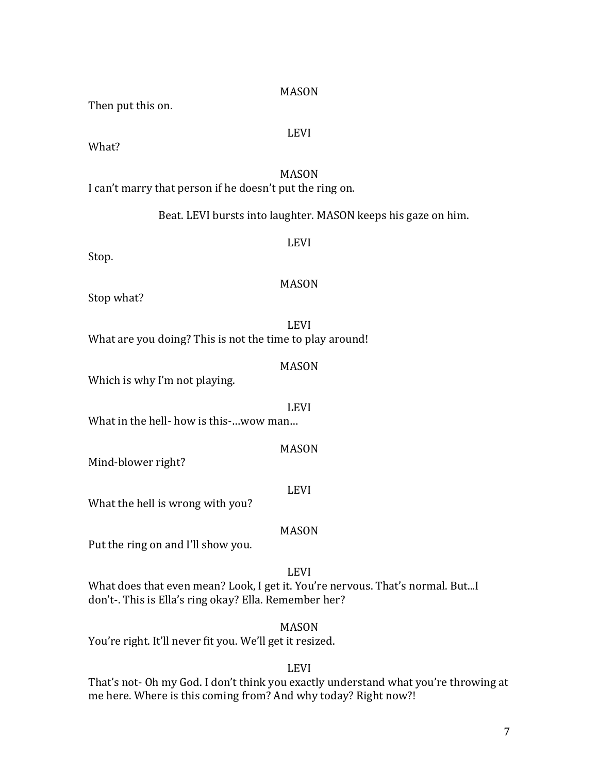# 7

#### MASON

Then put this on.

## LEVI

What?

## MASON

I can't marry that person if he doesn't put the ring on.

Beat. LEVI bursts into laughter. MASON keeps his gaze on him.

# LEVI

Stop.

# MASON

Stop what?

LEVI What are you doing? This is not the time to play around!

## MASON

Which is why I'm not playing.

LEVI

What in the hell- how is this-...wow man...

MASON

Mind-blower right?

# LEVI

What the hell is wrong with you?

# MASON

Put the ring on and I'll show you.

# LEVI

What does that even mean? Look, I get it. You're nervous. That's normal. But...I don't-. This is Ella's ring okay? Ella. Remember her?

# MASON

You're right. It'll never fit you. We'll get it resized.

# LEVI

That's not- Oh my God. I don't think you exactly understand what you're throwing at me here. Where is this coming from? And why today? Right now?!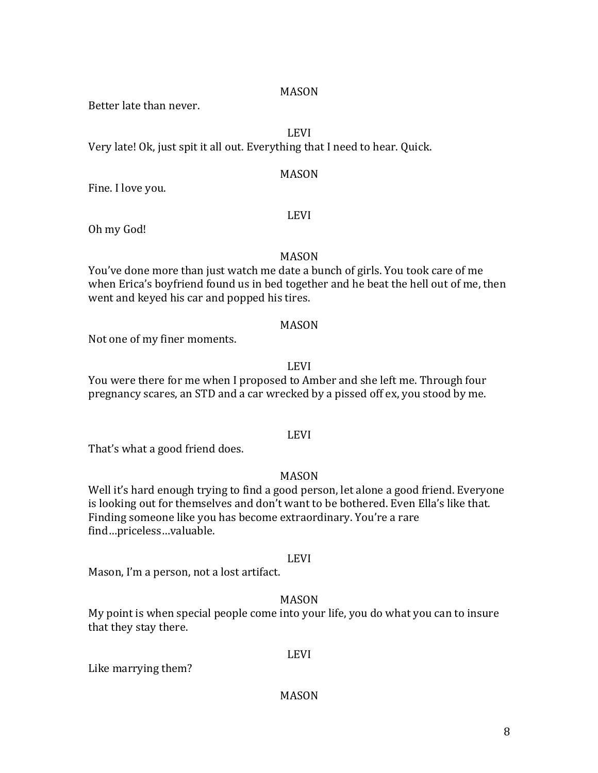Better late than never.

## LEVI

Very late! Ok, just spit it all out. Everything that I need to hear. Quick.

#### MASON

Fine. I love you.

#### LEVI

Oh my God!

## MASON

You've done more than just watch me date a bunch of girls. You took care of me when Erica's boyfriend found us in bed together and he beat the hell out of me, then went and keyed his car and popped his tires.

#### MASON

Not one of my finer moments.

#### LEVI

You were there for me when I proposed to Amber and she left me. Through four pregnancy scares, an STD and a car wrecked by a pissed off ex, you stood by me.

## LEVI

That's what a good friend does.

## MASON

Well it's hard enough trying to find a good person, let alone a good friend. Everyone is looking out for themselves and don't want to be bothered. Even Ella's like that. Finding someone like you has become extraordinary. You're a rare find…priceless…valuable.

#### LEVI

Mason, I'm a person, not a lost artifact.

## MASON

My point is when special people come into your life, you do what you can to insure that they stay there.

Like marrying them?

# LEVI

#### MASON

8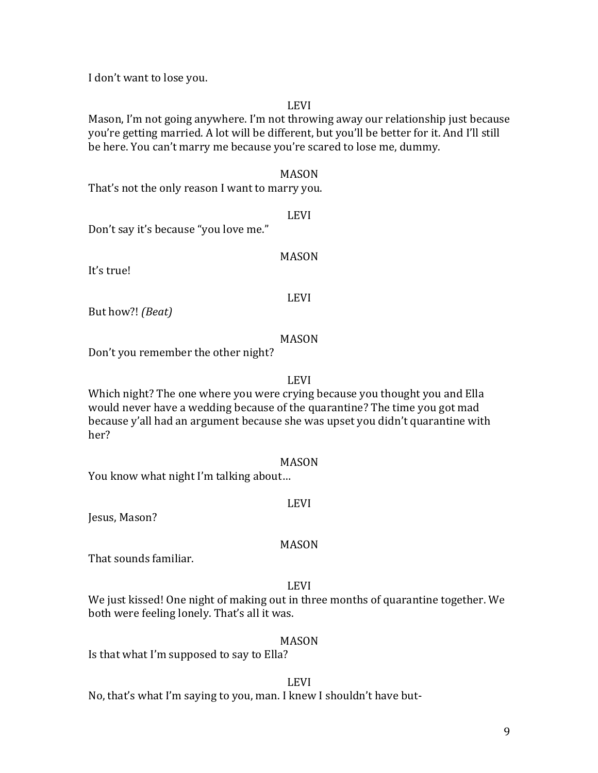I don't want to lose you.

LEVI

Mason, I'm not going anywhere. I'm not throwing away our relationship just because you're getting married. A lot will be different, but you'll be better for it. And I'll still be here. You can't marry me because you're scared to lose me, dummy.

MASON

That's not the only reason I want to marry you.

LEVI

Don't say it's because "you love me."

MASON

It's true!

LEVI

But how?! *(Beat)* 

MASON

Don't you remember the other night?

LEVI

Which night? The one where you were crying because you thought you and Ella would never have a wedding because of the quarantine? The time you got mad because y'all had an argument because she was upset you didn't quarantine with her?

MASON

You know what night I'm talking about...

## LEVI

Jesus, Mason?

# MASON

That sounds familiar.

# LEVI

We just kissed! One night of making out in three months of quarantine together. We both were feeling lonely. That's all it was.

# MASON

Is that what I'm supposed to say to Ella?

## LEVI

No, that's what I'm saying to you, man. I knew I shouldn't have but-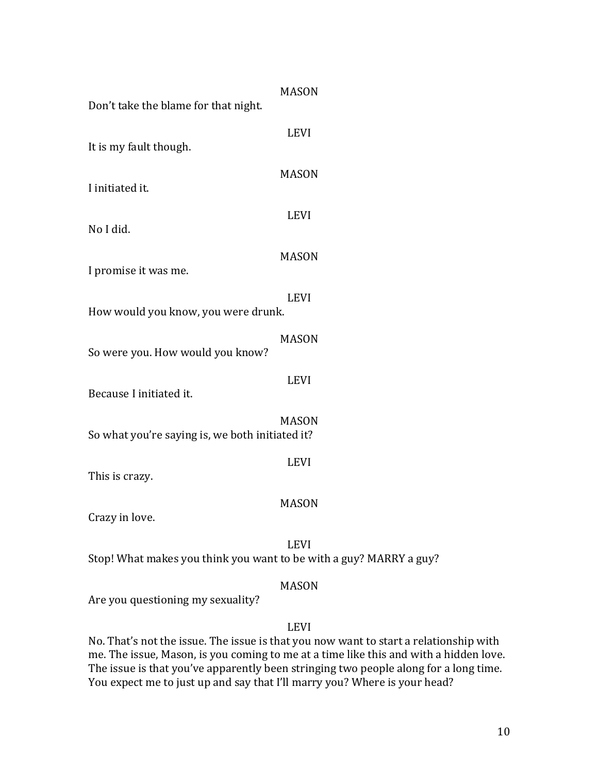| Don't take the blame for that night.             | <b>MASON</b> |
|--------------------------------------------------|--------------|
| It is my fault though.                           | <b>LEVI</b>  |
|                                                  | <b>MASON</b> |
| I initiated it.                                  | <b>LEVI</b>  |
| No I did.                                        |              |
| I promise it was me.                             | <b>MASON</b> |
| How would you know, you were drunk.              | <b>LEVI</b>  |
| So were you. How would you know?                 | <b>MASON</b> |
| Because I initiated it.                          | <b>LEVI</b>  |
| So what you're saying is, we both initiated it?  | <b>MASON</b> |
| This is crazy.                                   | <b>LEVI</b>  |
| Crazy in love                                    | <b>MASON</b> |
| Stop! What makes you think you want to be with a | <b>LEVI</b>  |
| Are you questioning my sexuality?                | <b>MASON</b> |

LEVI

guy? MARRY a guy?

No. That's not the issue. The issue is that you now want to start a relationship with me. The issue, Mason, is you coming to me at a time like this and with a hidden love. The issue is that you've apparently been stringing two people along for a long time. You expect me to just up and say that I'll marry you? Where is your head?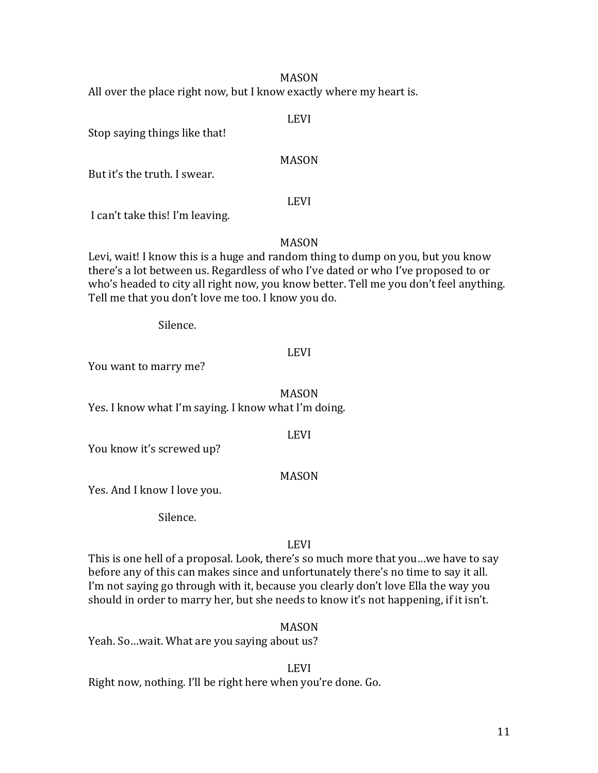All over the place right now, but I know exactly where my heart is.

## LEVI

Stop saying things like that!

## MASON

But it's the truth. I swear.

## LEVI

I can't take this! I'm leaving.

# MASON

Levi, wait! I know this is a huge and random thing to dump on you, but you know there's a lot between us. Regardless of who I've dated or who I've proposed to or who's headed to city all right now, you know better. Tell me you don't feel anything. Tell me that you don't love me too. I know you do.

Silence.

# LEVI

You want to marry me?

MASON

Yes. I know what I'm saying. I know what I'm doing.

# LEVI

You know it's screwed up?

# MASON

Yes. And I know I love you.

Silence.

# LEVI

This is one hell of a proposal. Look, there's so much more that you...we have to say before any of this can makes since and unfortunately there's no time to say it all. I'm not saying go through with it, because you clearly don't love Ella the way you should in order to marry her, but she needs to know it's not happening, if it isn't.

# MASON

Yeah. So ... wait. What are you saying about us?

LEVI

Right now, nothing. I'll be right here when you're done. Go.